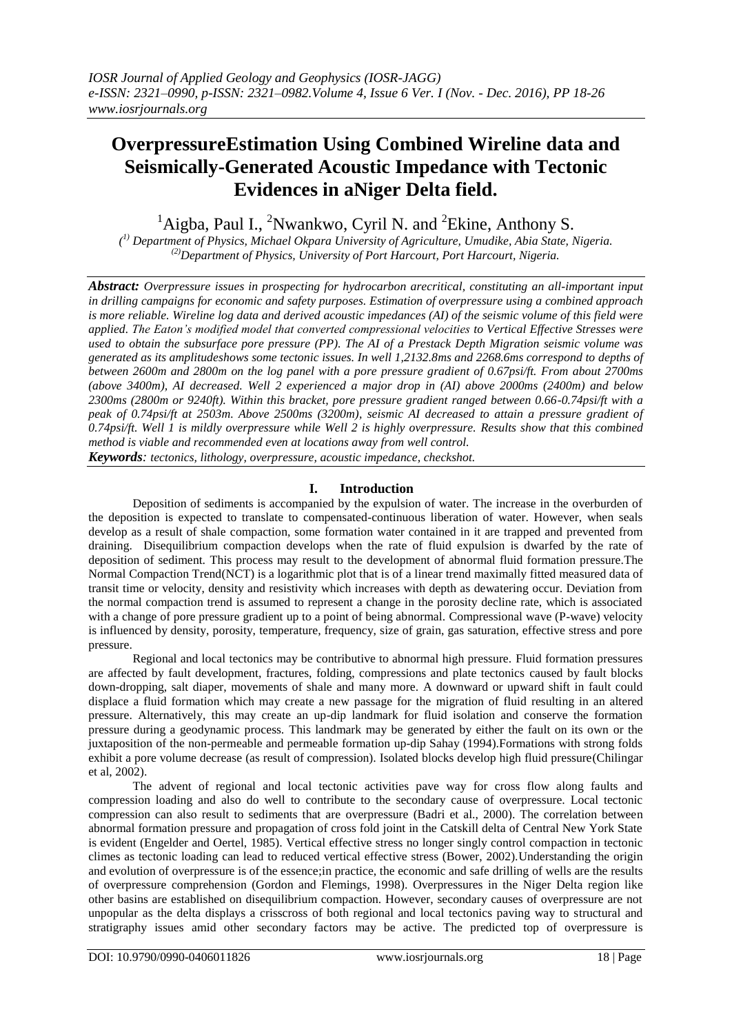# **OverpressureEstimation Using Combined Wireline data and Seismically-Generated Acoustic Impedance with Tectonic Evidences in aNiger Delta field.**

<sup>1</sup>Aigba, Paul I., <sup>2</sup>Nwankwo, Cyril N. and <sup>2</sup>Ekine, Anthony S.

*( 1) Department of Physics, Michael Okpara University of Agriculture, Umudike, Abia State, Nigeria. (2)Department of Physics, University of Port Harcourt, Port Harcourt, Nigeria.*

*Abstract: Overpressure issues in prospecting for hydrocarbon arecritical, constituting an all-important input in drilling campaigns for economic and safety purposes. Estimation of overpressure using a combined approach is more reliable. Wireline log data and derived acoustic impedances (AI) of the seismic volume of this field were applied. The Eaton's modified model that converted compressional velocities to Vertical Effective Stresses were used to obtain the subsurface pore pressure (PP). The AI of a Prestack Depth Migration seismic volume was generated as its amplitudeshows some tectonic issues. In well 1,2132.8ms and 2268.6ms correspond to depths of between 2600m and 2800m on the log panel with a pore pressure gradient of 0.67psi/ft. From about 2700ms (above 3400m), AI decreased. Well 2 experienced a major drop in (AI) above 2000ms (2400m) and below 2300ms (2800m or 9240ft). Within this bracket, pore pressure gradient ranged between 0.66-0.74psi/ft with a peak of 0.74psi/ft at 2503m. Above 2500ms (3200m), seismic AI decreased to attain a pressure gradient of 0.74psi/ft. Well 1 is mildly overpressure while Well 2 is highly overpressure. Results show that this combined method is viable and recommended even at locations away from well control. Keywords: tectonics, lithology, overpressure, acoustic impedance, checkshot.*

# **I. Introduction**

Deposition of sediments is accompanied by the expulsion of water. The increase in the overburden of the deposition is expected to translate to compensated-continuous liberation of water. However, when seals develop as a result of shale compaction, some formation water contained in it are trapped and prevented from draining. Disequilibrium compaction develops when the rate of fluid expulsion is dwarfed by the rate of deposition of sediment. This process may result to the development of abnormal fluid formation pressure.The Normal Compaction Trend(NCT) is a logarithmic plot that is of a linear trend maximally fitted measured data of transit time or velocity, density and resistivity which increases with depth as dewatering occur. Deviation from the normal compaction trend is assumed to represent a change in the porosity decline rate, which is associated with a change of pore pressure gradient up to a point of being abnormal. Compressional wave (P-wave) velocity is influenced by density, porosity, temperature, frequency, size of grain, gas saturation, effective stress and pore pressure.

Regional and local tectonics may be contributive to abnormal high pressure. Fluid formation pressures are affected by fault development, fractures, folding, compressions and plate tectonics caused by fault blocks down-dropping, salt diaper, movements of shale and many more. A downward or upward shift in fault could displace a fluid formation which may create a new passage for the migration of fluid resulting in an altered pressure. Alternatively, this may create an up-dip landmark for fluid isolation and conserve the formation pressure during a geodynamic process. This landmark may be generated by either the fault on its own or the juxtaposition of the non-permeable and permeable formation up-dip Sahay (1994).Formations with strong folds exhibit a pore volume decrease (as result of compression). Isolated blocks develop high fluid pressure(Chilingar et al, 2002).

The advent of regional and local tectonic activities pave way for cross flow along faults and compression loading and also do well to contribute to the secondary cause of overpressure. Local tectonic compression can also result to sediments that are overpressure (Badri et al., 2000). The correlation between abnormal formation pressure and propagation of cross fold joint in the Catskill delta of Central New York State is evident (Engelder and Oertel, 1985). Vertical effective stress no longer singly control compaction in tectonic climes as tectonic loading can lead to reduced vertical effective stress (Bower, 2002).Understanding the origin and evolution of overpressure is of the essence;in practice, the economic and safe drilling of wells are the results of overpressure comprehension (Gordon and Flemings, 1998). Overpressures in the Niger Delta region like other basins are established on disequilibrium compaction. However, secondary causes of overpressure are not unpopular as the delta displays a crisscross of both regional and local tectonics paving way to structural and stratigraphy issues amid other secondary factors may be active. The predicted top of overpressure is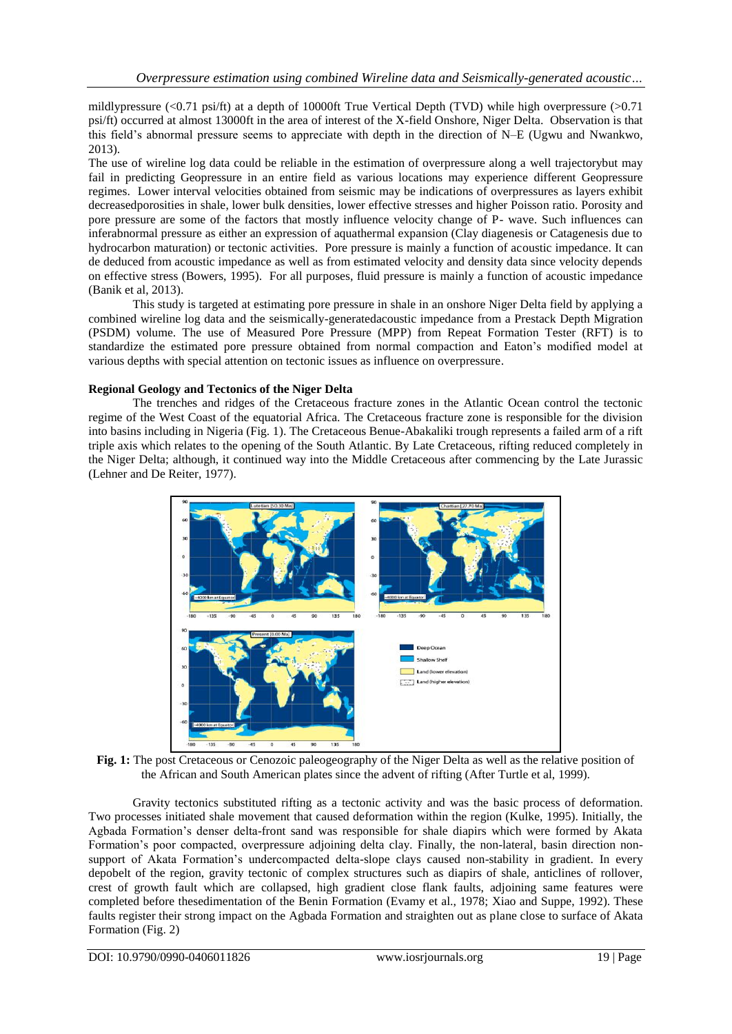mildlypressure (<0.71 psi/ft) at a depth of 10000ft True Vertical Depth (TVD) while high overpressure (>0.71 psi/ft) occurred at almost 13000ft in the area of interest of the X-field Onshore, Niger Delta. Observation is that this field's abnormal pressure seems to appreciate with depth in the direction of N–E (Ugwu and Nwankwo, 2013).

The use of wireline log data could be reliable in the estimation of overpressure along a well trajectorybut may fail in predicting Geopressure in an entire field as various locations may experience different Geopressure regimes. Lower interval velocities obtained from seismic may be indications of overpressures as layers exhibit decreasedporosities in shale, lower bulk densities, lower effective stresses and higher Poisson ratio. Porosity and pore pressure are some of the factors that mostly influence velocity change of P- wave. Such influences can inferabnormal pressure as either an expression of aquathermal expansion (Clay diagenesis or Catagenesis due to hydrocarbon maturation) or tectonic activities. Pore pressure is mainly a function of acoustic impedance. It can de deduced from acoustic impedance as well as from estimated velocity and density data since velocity depends on effective stress (Bowers, 1995). For all purposes, fluid pressure is mainly a function of acoustic impedance (Banik et al, 2013).

This study is targeted at estimating pore pressure in shale in an onshore Niger Delta field by applying a combined wireline log data and the seismically-generatedacoustic impedance from a Prestack Depth Migration (PSDM) volume. The use of Measured Pore Pressure (MPP) from Repeat Formation Tester (RFT) is to standardize the estimated pore pressure obtained from normal compaction and Eaton's modified model at various depths with special attention on tectonic issues as influence on overpressure.

#### **Regional Geology and Tectonics of the Niger Delta**

The trenches and ridges of the Cretaceous fracture zones in the Atlantic Ocean control the tectonic regime of the West Coast of the equatorial Africa. The Cretaceous fracture zone is responsible for the division into basins including in Nigeria (Fig. 1). The Cretaceous Benue-Abakaliki trough represents a failed arm of a rift triple axis which relates to the opening of the South Atlantic. By Late Cretaceous, rifting reduced completely in the Niger Delta; although, it continued way into the Middle Cretaceous after commencing by the Late Jurassic (Lehner and De Reiter, 1977).



Fig. 1: The post Cretaceous or Cenozoic paleogeography of the Niger Delta as well as the relative position of the African and South American plates since the advent of rifting (After Turtle et al, 1999).

Gravity tectonics substituted rifting as a tectonic activity and was the basic process of deformation. Two processes initiated shale movement that caused deformation within the region (Kulke, 1995). Initially, the Agbada Formation's denser delta-front sand was responsible for shale diapirs which were formed by Akata Formation's poor compacted, overpressure adjoining delta clay. Finally, the non-lateral, basin direction nonsupport of Akata Formation's undercompacted delta-slope clays caused non-stability in gradient. In every depobelt of the region, gravity tectonic of complex structures such as diapirs of shale, anticlines of rollover, crest of growth fault which are collapsed, high gradient close flank faults, adjoining same features were completed before thesedimentation of the Benin Formation (Evamy et al., 1978; Xiao and Suppe, 1992). These faults register their strong impact on the Agbada Formation and straighten out as plane close to surface of Akata Formation (Fig. 2)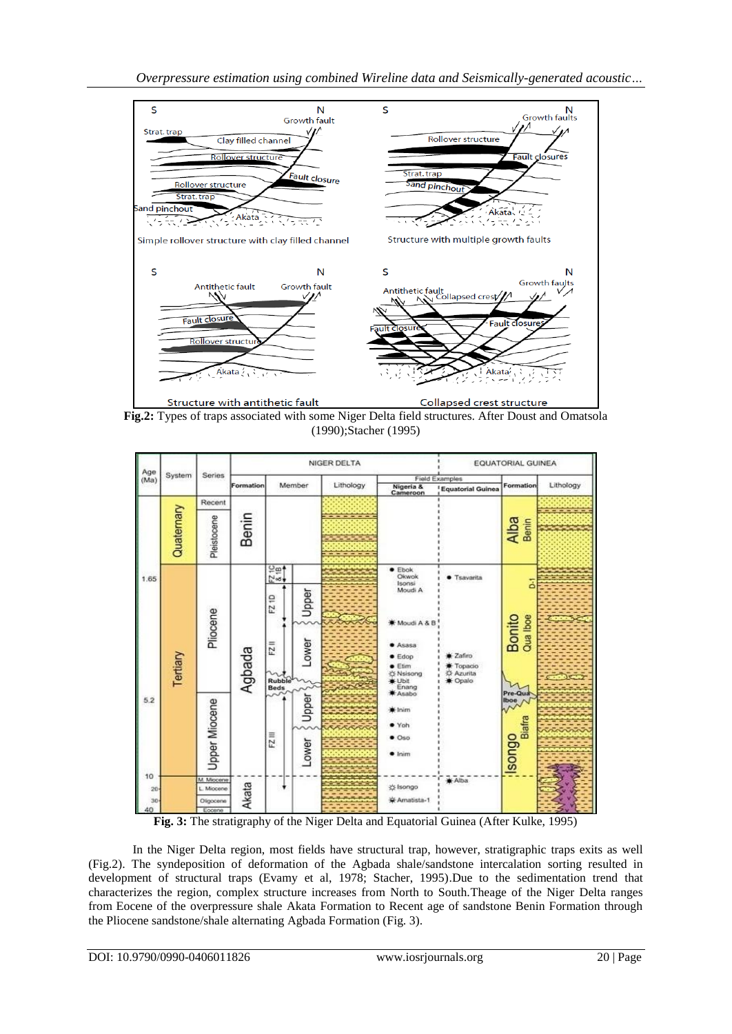

**Fig.2:** Types of traps associated with some Niger Delta field structures. After Doust and Omatsola (1990);Stacher (1995)



**Fig. 3:** The stratigraphy of the Niger Delta and Equatorial Guinea (After Kulke, 1995)

In the Niger Delta region, most fields have structural trap, however, stratigraphic traps exits as well (Fig.2). The syndeposition of deformation of the Agbada shale/sandstone intercalation sorting resulted in development of structural traps (Evamy et al, 1978; Stacher, 1995).Due to the sedimentation trend that characterizes the region, complex structure increases from North to South.Theage of the Niger Delta ranges from Eocene of the overpressure shale Akata Formation to Recent age of sandstone Benin Formation through the Pliocene sandstone/shale alternating Agbada Formation (Fig. 3).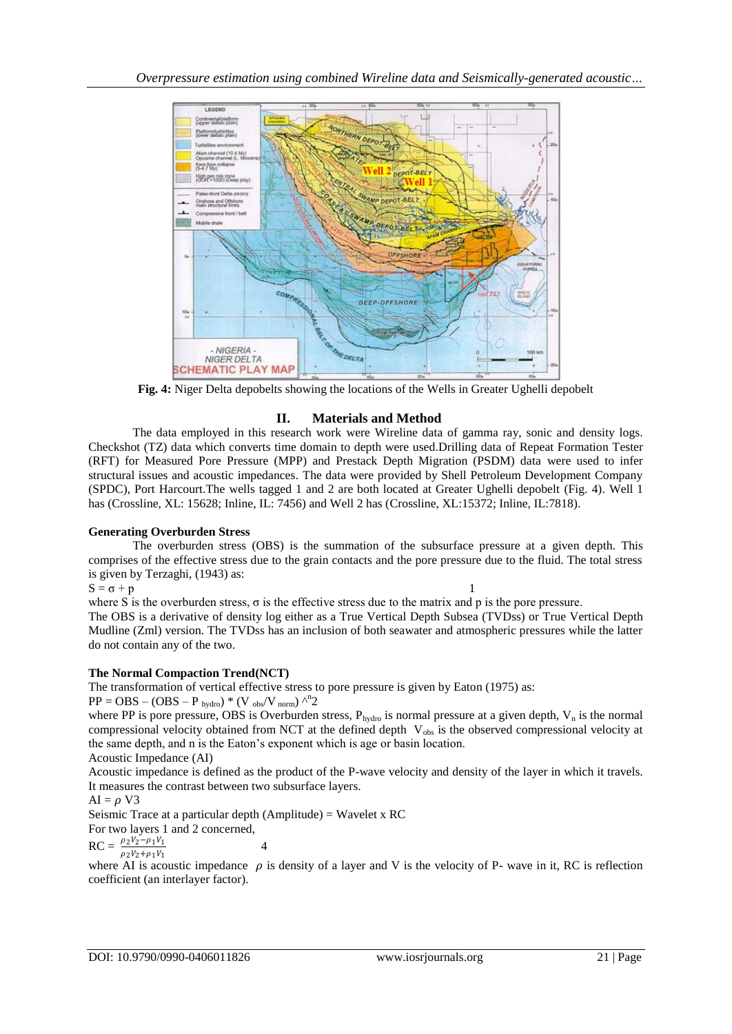

**Fig. 4:** Niger Delta depobelts showing the locations of the Wells in Greater Ughelli depobelt

# **II. Materials and Method**

The data employed in this research work were Wireline data of gamma ray, sonic and density logs. Checkshot (TZ) data which converts time domain to depth were used.Drilling data of Repeat Formation Tester (RFT) for Measured Pore Pressure (MPP) and Prestack Depth Migration (PSDM) data were used to infer structural issues and acoustic impedances. The data were provided by Shell Petroleum Development Company (SPDC), Port Harcourt.The wells tagged 1 and 2 are both located at Greater Ughelli depobelt (Fig. 4). Well 1 has (Crossline, XL: 15628; Inline, IL: 7456) and Well 2 has (Crossline, XL:15372; Inline, IL:7818).

### **Generating Overburden Stress**

The overburden stress (OBS) is the summation of the subsurface pressure at a given depth. This comprises of the effective stress due to the grain contacts and the pore pressure due to the fluid. The total stress is given by Terzaghi, (1943) as:

$$
S = \sigma + p \tag{1}
$$

where S is the overburden stress,  $\sigma$  is the effective stress due to the matrix and p is the pore pressure.

The OBS is a derivative of density log either as a True Vertical Depth Subsea (TVDss) or True Vertical Depth Mudline (Zml) version. The TVDss has an inclusion of both seawater and atmospheric pressures while the latter do not contain any of the two.

### **The Normal Compaction Trend(NCT)**

The transformation of vertical effective stress to pore pressure is given by Eaton (1975) as:  $PP = OBS - (OBS - P_{hydro}) * (V_{obs}/V_{norm})^{\Lambda n}2$ 

where PP is pore pressure, OBS is Overburden stress,  $P_{hydro}$  is normal pressure at a given depth,  $V_n$  is the normal compressional velocity obtained from NCT at the defined depth  $V_{obs}$  is the observed compressional velocity at the same depth, and n is the Eaton's exponent which is age or basin location.

Acoustic Impedance (AI)

Acoustic impedance is defined as the product of the P-wave velocity and density of the layer in which it travels. It measures the contrast between two subsurface layers.

$$
AI = \rho V3
$$

Seismic Trace at a particular depth (Amplitude) = Wavelet x RC For two layers 1 and 2 concerned,

 $\rho_2 V_2 - \rho_1 V_1$ 

$$
RC = \frac{\rho_2 v_2 - \rho_1 v_1}{\rho_2 V_2 + \rho_1 V_1} \tag{4}
$$

where AI is acoustic impedance  $\rho$  is density of a layer and V is the velocity of P- wave in it, RC is reflection coefficient (an interlayer factor).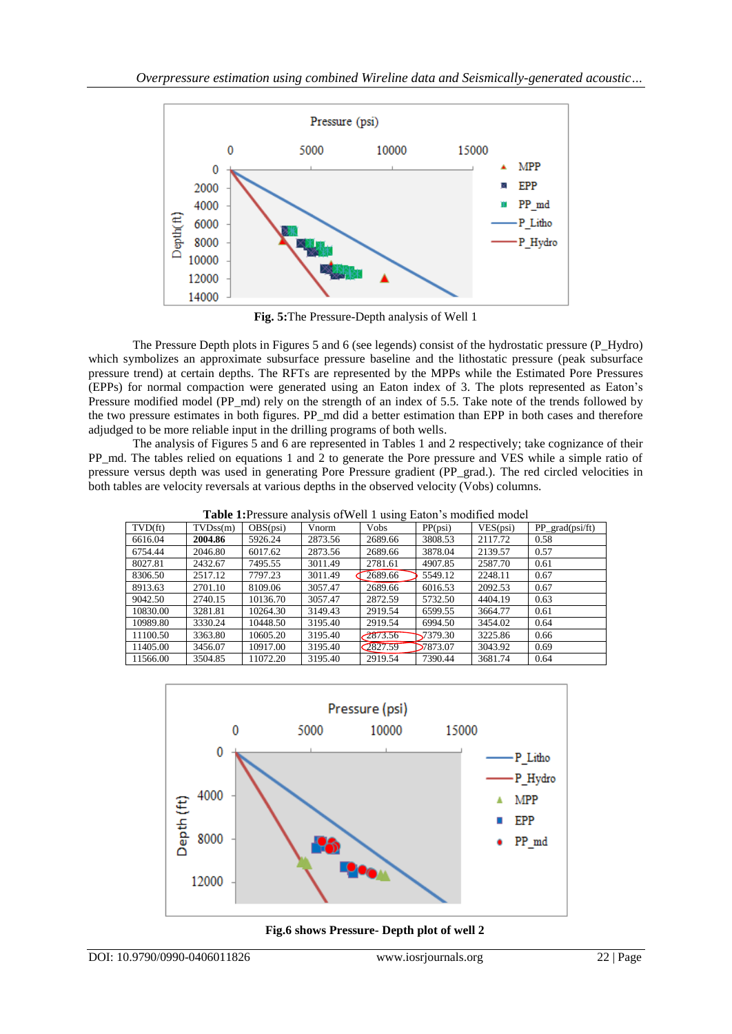

**Fig. 5:**The Pressure-Depth analysis of Well 1

The Pressure Depth plots in Figures 5 and 6 (see legends) consist of the hydrostatic pressure (P\_Hydro) which symbolizes an approximate subsurface pressure baseline and the lithostatic pressure (peak subsurface pressure trend) at certain depths. The RFTs are represented by the MPPs while the Estimated Pore Pressures (EPPs) for normal compaction were generated using an Eaton index of 3. The plots represented as Eaton's Pressure modified model (PP\_md) rely on the strength of an index of 5.5. Take note of the trends followed by the two pressure estimates in both figures. PP\_md did a better estimation than EPP in both cases and therefore adjudged to be more reliable input in the drilling programs of both wells.

The analysis of Figures 5 and 6 are represented in Tables 1 and 2 respectively; take cognizance of their PP\_md. The tables relied on equations 1 and 2 to generate the Pore pressure and VES while a simple ratio of pressure versus depth was used in generating Pore Pressure gradient (PP\_grad.). The red circled velocities in both tables are velocity reversals at various depths in the observed velocity (Vobs) columns.

**Table 1:**Pressure analysis ofWell 1 using Eaton's modified model

| <b>Table 1.</b> I ressure analysis of well I using Earon's mounted model |          |          |         |             |          |          |                  |  |
|--------------------------------------------------------------------------|----------|----------|---------|-------------|----------|----------|------------------|--|
| TVD (ft)                                                                 | TVDss(m) | OBS(psi) | Vnorm   | <b>Vobs</b> | PP(psi)  | VES(psi) | $PP_{grad}(psi)$ |  |
| 6616.04                                                                  | 2004.86  | 5926.24  | 2873.56 | 2689.66     | 3808.53  | 2117.72  | 0.58             |  |
| 6754.44                                                                  | 2046.80  | 6017.62  | 2873.56 | 2689.66     | 3878.04  | 2139.57  | 0.57             |  |
| 8027.81                                                                  | 2432.67  | 7495.55  | 3011.49 | 2781.61     | 4907.85  | 2587.70  | 0.61             |  |
| 8306.50                                                                  | 2517.12  | 7797.23  | 3011.49 | 2689.66     | 5549.12  | 2248.11  | 0.67             |  |
| 8913.63                                                                  | 2701.10  | 8109.06  | 3057.47 | 2689.66     | 6016.53  | 2092.53  | 0.67             |  |
| 9042.50                                                                  | 2740.15  | 10136.70 | 3057.47 | 2872.59     | 5732.50  | 4404.19  | 0.63             |  |
| 10830.00                                                                 | 3281.81  | 10264.30 | 3149.43 | 2919.54     | 6599.55  | 3664.77  | 0.61             |  |
| 10989.80                                                                 | 3330.24  | 10448.50 | 3195.40 | 2919.54     | 6994.50  | 3454.02  | 0.64             |  |
| 11100.50                                                                 | 3363.80  | 10605.20 | 3195.40 | $-2873.56$  | 7379.30  | 3225.86  | 0.66             |  |
| 11405.00                                                                 | 3456.07  | 10917.00 | 3195.40 | 2827.59     | 27873.07 | 3043.92  | 0.69             |  |
| 11566.00                                                                 | 3504.85  | 11072.20 | 3195.40 | 2919.54     | 7390.44  | 3681.74  | 0.64             |  |



**Fig.6 shows Pressure- Depth plot of well 2**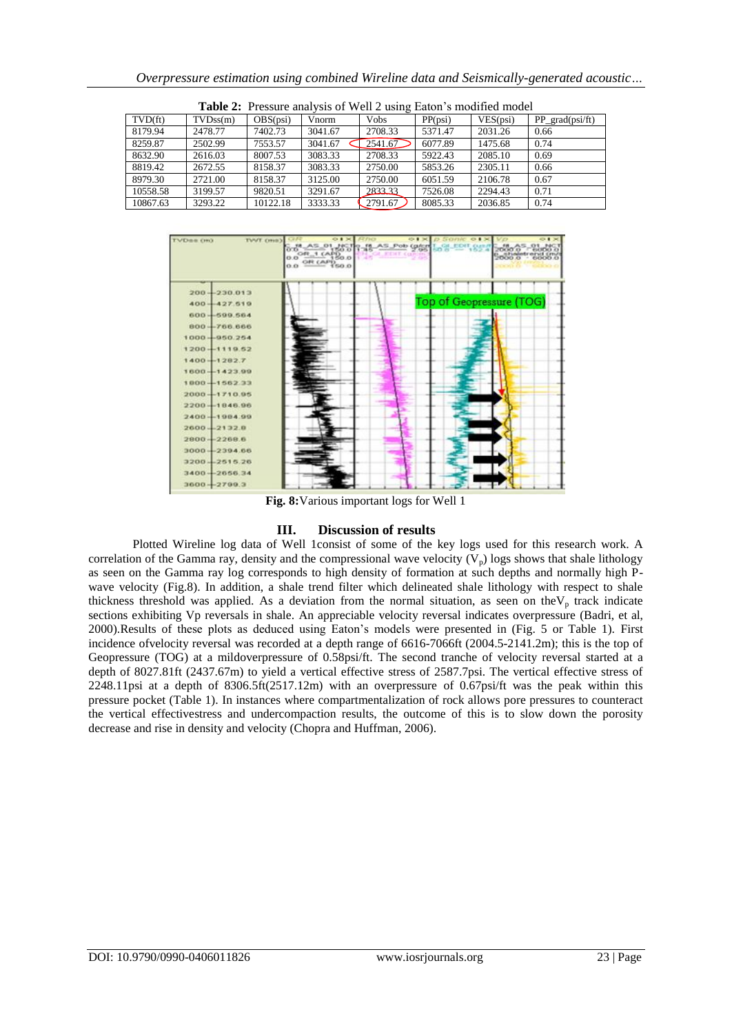| Overpressure estimation using combined Wireline data and Seismically-generated acoustic |  |  |  |  |
|-----------------------------------------------------------------------------------------|--|--|--|--|
|                                                                                         |  |  |  |  |

| <b>Table 2.</b> FICSSUIC analysis Of Well 2 using Earon S modified model |                       |          |         |         |         |          |                     |  |
|--------------------------------------------------------------------------|-----------------------|----------|---------|---------|---------|----------|---------------------|--|
| $TVD$ $ft)$                                                              | TVDs <sub>S</sub> (m) | OBS(psi) | Vnorm   | Vobs    | PP(psi) | VES(psi) | $PP_{grad}(psi/ft)$ |  |
| 8179.94                                                                  | 2478.77               | 7402.73  | 3041.67 | 2708.33 | 5371.47 | 2031.26  | 0.66                |  |
| 8259.87                                                                  | 2502.99               | 7553.57  | 3041.67 | 2541.67 | 6077.89 | 1475.68  | 0.74                |  |
| 8632.90                                                                  | 2616.03               | 8007.53  | 3083.33 | 2708.33 | 5922.43 | 2085.10  | 0.69                |  |
| 8819.42                                                                  | 2672.55               | 8158.37  | 3083.33 | 2750.00 | 5853.26 | 2305.11  | 0.66                |  |
| 8979.30                                                                  | 2721.00               | 8158.37  | 3125.00 | 2750.00 | 6051.59 | 2106.78  | 0.67                |  |
| 10558.58                                                                 | 3199.57               | 9820.51  | 3291.67 | 2833.33 | 7526.08 | 2294.43  | 0.71                |  |
| 10867.63                                                                 | 3293.22               | 10122.18 | 3333.33 | 2791.67 | 8085.33 | 2036.85  | 0.74                |  |

**Table 2:** Pressure analysis of Well 2 using Eaton's modified model



**Fig. 8:**Various important logs for Well 1

### **III. Discussion of results**

Plotted Wireline log data of Well 1consist of some of the key logs used for this research work. A correlation of the Gamma ray, density and the compressional wave velocity  $(V_p)$  logs shows that shale lithology as seen on the Gamma ray log corresponds to high density of formation at such depths and normally high Pwave velocity (Fig.8). In addition, a shale trend filter which delineated shale lithology with respect to shale thickness threshold was applied. As a deviation from the normal situation, as seen on the $V_p$  track indicate sections exhibiting Vp reversals in shale. An appreciable velocity reversal indicates overpressure (Badri, et al, 2000).Results of these plots as deduced using Eaton's models were presented in (Fig. 5 or Table 1). First incidence ofvelocity reversal was recorded at a depth range of 6616-7066ft (2004.5-2141.2m); this is the top of Geopressure (TOG) at a mildoverpressure of 0.58psi/ft. The second tranche of velocity reversal started at a depth of 8027.81ft (2437.67m) to yield a vertical effective stress of 2587.7psi. The vertical effective stress of 2248.11psi at a depth of 8306.5ft(2517.12m) with an overpressure of 0.67psi/ft was the peak within this pressure pocket (Table 1). In instances where compartmentalization of rock allows pore pressures to counteract the vertical effectivestress and undercompaction results, the outcome of this is to slow down the porosity decrease and rise in density and velocity (Chopra and Huffman, 2006).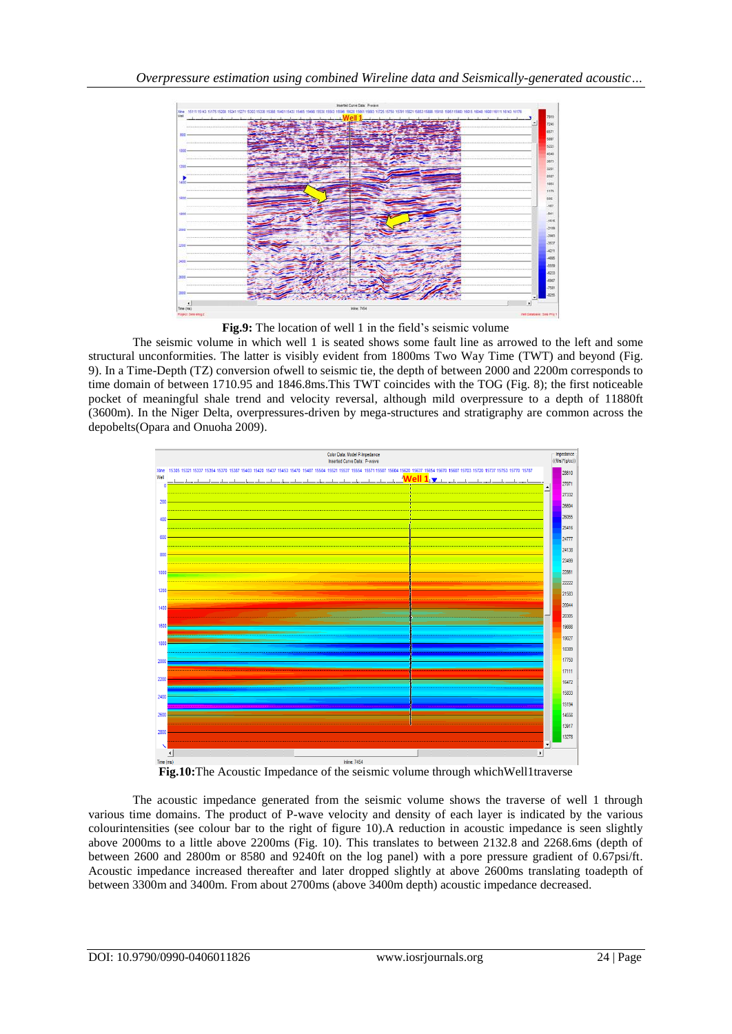

**Fig.9:** The location of well 1 in the field's seismic volume

The seismic volume in which well 1 is seated shows some fault line as arrowed to the left and some structural unconformities. The latter is visibly evident from 1800ms Two Way Time (TWT) and beyond (Fig. 9). In a Time-Depth (TZ) conversion ofwell to seismic tie, the depth of between 2000 and 2200m corresponds to time domain of between 1710.95 and 1846.8ms.This TWT coincides with the TOG (Fig. 8); the first noticeable pocket of meaningful shale trend and velocity reversal, although mild overpressure to a depth of 11880ft (3600m). In the Niger Delta, overpressures-driven by mega-structures and stratigraphy are common across the depobelts(Opara and Onuoha 2009).



**Fig.10:**The Acoustic Impedance of the seismic volume through whichWell1traverse

The acoustic impedance generated from the seismic volume shows the traverse of well 1 through various time domains. The product of P-wave velocity and density of each layer is indicated by the various colourintensities (see colour bar to the right of figure 10).A reduction in acoustic impedance is seen slightly above 2000ms to a little above 2200ms (Fig. 10). This translates to between 2132.8 and 2268.6ms (depth of between 2600 and 2800m or 8580 and 9240ft on the log panel) with a pore pressure gradient of 0.67psi/ft. Acoustic impedance increased thereafter and later dropped slightly at above 2600ms translating toadepth of between 3300m and 3400m. From about 2700ms (above 3400m depth) acoustic impedance decreased.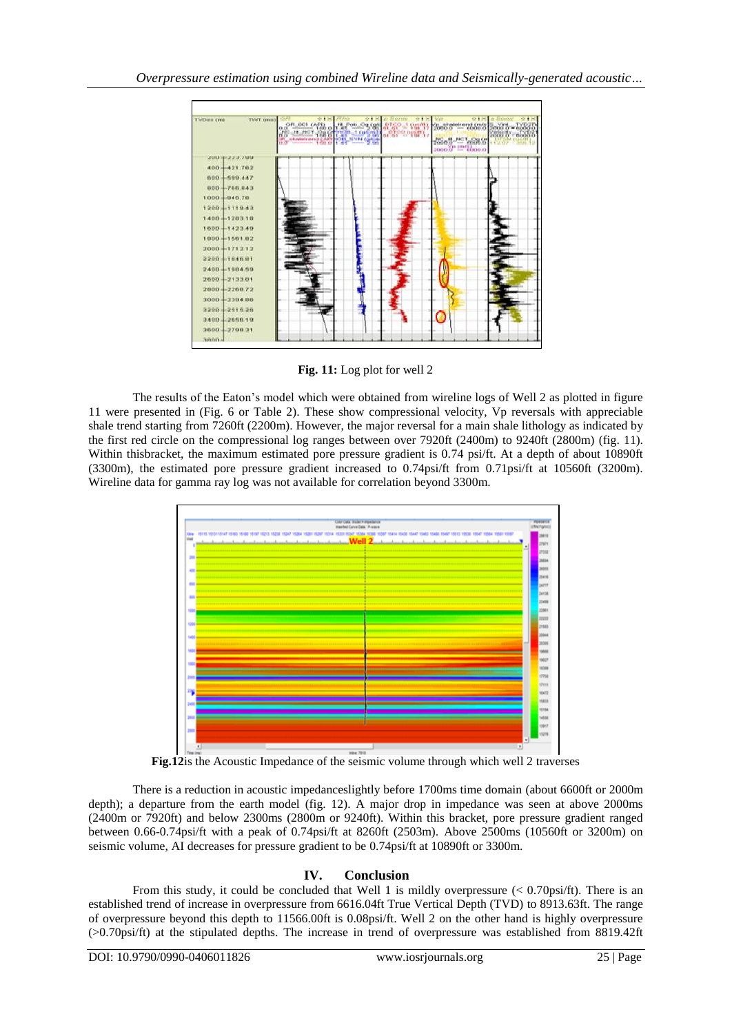

**Fig. 11:** Log plot for well 2

The results of the Eaton's model which were obtained from wireline logs of Well 2 as plotted in figure 11 were presented in (Fig. 6 or Table 2). These show compressional velocity, Vp reversals with appreciable shale trend starting from 7260ft (2200m). However, the major reversal for a main shale lithology as indicated by the first red circle on the compressional log ranges between over 7920ft (2400m) to 9240ft (2800m) (fig. 11). Within thisbracket, the maximum estimated pore pressure gradient is 0.74 psi/ft. At a depth of about 10890ft (3300m), the estimated pore pressure gradient increased to 0.74psi/ft from 0.71psi/ft at 10560ft (3200m). Wireline data for gamma ray log was not available for correlation beyond 3300m.



**Fig.12**is the Acoustic Impedance of the seismic volume through which well 2 traverses

There is a reduction in acoustic impedanceslightly before 1700ms time domain (about 6600ft or 2000m depth); a departure from the earth model (fig. 12). A major drop in impedance was seen at above 2000ms (2400m or 7920ft) and below 2300ms (2800m or 9240ft). Within this bracket, pore pressure gradient ranged between 0.66-0.74psi/ft with a peak of 0.74psi/ft at 8260ft (2503m). Above 2500ms (10560ft or 3200m) on seismic volume, AI decreases for pressure gradient to be 0.74psi/ft at 10890ft or 3300m.

# **IV. Conclusion**

From this study, it could be concluded that Well 1 is mildly overpressure (< 0.70psi/ft). There is an established trend of increase in overpressure from 6616.04ft True Vertical Depth (TVD) to 8913.63ft. The range of overpressure beyond this depth to 11566.00ft is 0.08psi/ft. Well 2 on the other hand is highly overpressure (>0.70psi/ft) at the stipulated depths. The increase in trend of overpressure was established from 8819.42ft